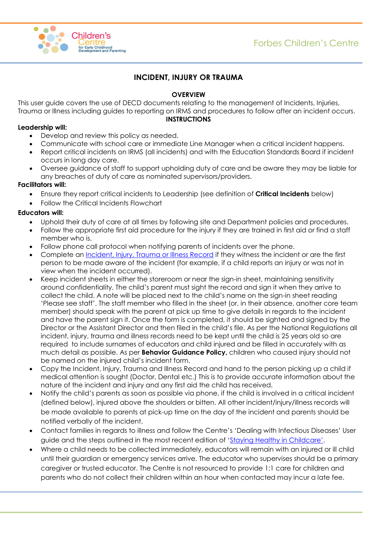

# **INCIDENT, INJURY OR TRAUMA**

#### **OVERVIEW**

This user guide covers the use of DECD documents relating to the management of Incidents, Injuries, Trauma or Illness including guides to reporting on IRMS and procedures to follow after an incident occurs.

#### **INSTRUCTIONS**

#### **Leadership will:**

- Develop and review this policy as needed.
- Communicate with school care or immediate Line Manager when a critical incident happens.
- Report critical incidents on IRMS (all incidents) and with the Education Standards Board if incident occurs in long day care.
- Oversee guidance of staff to support upholding duty of care and be aware they may be liable for any breaches of duty of care as nominated supervisors/providers.

#### **Facilitators will:**

- Ensure they report critical incidents to Leadership (see definition of **Critical Incidents** below)
- Follow the Critical Incidents Flowchart

#### **Educators will:**

- Uphold their duty of care at all times by following site and Department policies and procedures.
- Follow the appropriate first aid procedure for the injury if they are trained in first aid or find a staff member who is.
- Follow phone call protocol when notifying parents of incidents over the phone.
- Complete an *Incident*, Injury, Trauma or Illness Record if they witness the incident or are the first person to be made aware of the incident (for example, if a child reports an injury or was not in view when the incident occurred).
- Keep incident sheets in either the storeroom or near the sign-in sheet, maintaining sensitivity around confidentiality. The child's parent must sight the record and sign it when they arrive to collect the child. A note will be placed next to the child's name on the sign-in sheet reading 'Please see staff'. The staff member who filled in the sheet (or, in their absence, another core team member) should speak with the parent at pick up time to give details in regards to the incident and have the parent sign it. Once the form is completed, it should be sighted and signed by the Director or the Assistant Director and then filed in the child's file. As per the National Regulations all incident, injury, trauma and illness records need to be kept until the child is 25 years old so are required to include surnames of educators and child injured and be filled in accurately with as much detail as possible. As per **Behavior Guidance Policy,** children who caused injury should not be named on the injured child's incident form.
- Copy the Incident, Injury, Trauma and Illness Record and hand to the person picking up a child if medical attention is sought (Doctor, Dental etc.) This is to provide accurate information about the nature of the incident and injury and any first aid the child has received.
- Notify the child's parents as soon as possible via phone, if the child is involved in a critical incident (defined below), injured above the shoulders or bitten. All other incident/injury/illness records will be made available to parents at pick-up time on the day of the incident and parents should be notified verbally of the incident.
- Contact families in regards to illness and follow the Centre's 'Dealing with Infectious Diseases' User guide and the steps outlined in the most recent edition of ['Staying Healthy in Childcare'](http://www.nhmrc.gov.au/_files_nhmrc/publications/attachments/ch55_staying_healthy_5th_edition_updated_130701_0.pdf).
- Where a child needs to be collected immediately, educators will remain with an injured or ill child until their guardian or emergency services arrive. The educator who supervises should be a primary caregiver or trusted educator. The Centre is not resourced to provide 1:1 care for children and parents who do not collect their children within an hour when contacted may incur a late fee.